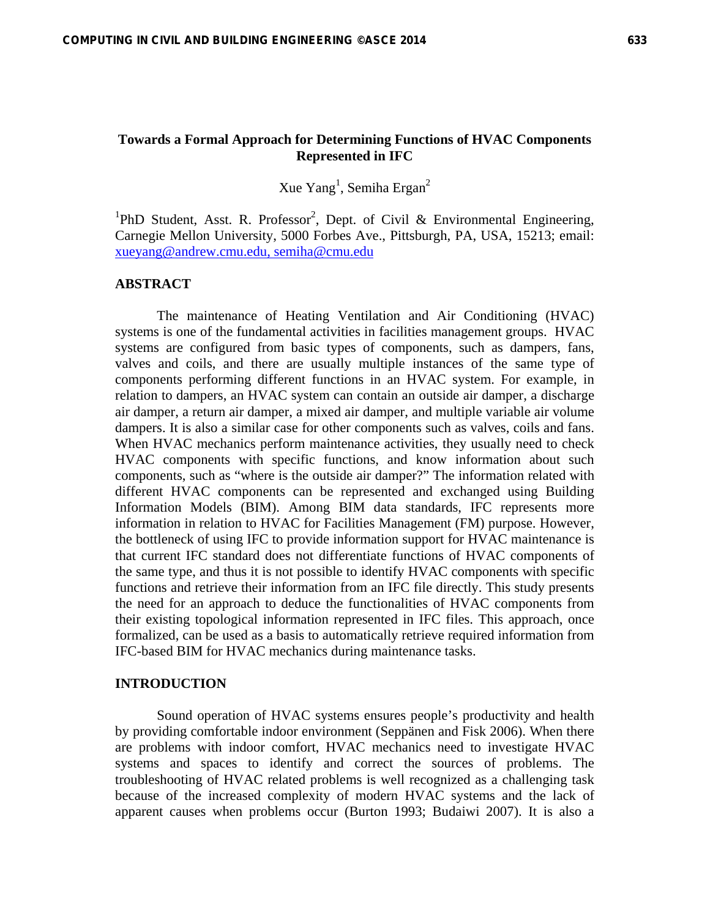# **Towards a Formal Approach for Determining Functions of HVAC Components Represented in IFC**

Xue Yang<sup>1</sup>, Semiha Ergan<sup>2</sup>

<sup>1</sup>PhD Student, Asst. R. Professor<sup>2</sup>, Dept. of Civil & Environmental Engineering, Carnegie Mellon University, 5000 Forbes Ave., Pittsburgh, PA, USA, 15213; email: xueyang@andrew.cmu.edu, semiha@cmu.edu

### **ABSTRACT**

The maintenance of Heating Ventilation and Air Conditioning (HVAC) systems is one of the fundamental activities in facilities management groups. HVAC systems are configured from basic types of components, such as dampers, fans, valves and coils, and there are usually multiple instances of the same type of components performing different functions in an HVAC system. For example, in relation to dampers, an HVAC system can contain an outside air damper, a discharge air damper, a return air damper, a mixed air damper, and multiple variable air volume dampers. It is also a similar case for other components such as valves, coils and fans. When HVAC mechanics perform maintenance activities, they usually need to check HVAC components with specific functions, and know information about such components, such as "where is the outside air damper?" The information related with different HVAC components can be represented and exchanged using Building Information Models (BIM). Among BIM data standards, IFC represents more information in relation to HVAC for Facilities Management (FM) purpose. However, the bottleneck of using IFC to provide information support for HVAC maintenance is that current IFC standard does not differentiate functions of HVAC components of the same type, and thus it is not possible to identify HVAC components with specific functions and retrieve their information from an IFC file directly. This study presents the need for an approach to deduce the functionalities of HVAC components from their existing topological information represented in IFC files. This approach, once formalized, can be used as a basis to automatically retrieve required information from IFC-based BIM for HVAC mechanics during maintenance tasks.

### **INTRODUCTION**

Sound operation of HVAC systems ensures people's productivity and health by providing comfortable indoor environment (Seppänen and Fisk 2006). When there are problems with indoor comfort, HVAC mechanics need to investigate HVAC systems and spaces to identify and correct the sources of problems. The troubleshooting of HVAC related problems is well recognized as a challenging task because of the increased complexity of modern HVAC systems and the lack of apparent causes when problems occur (Burton 1993; Budaiwi 2007). It is also a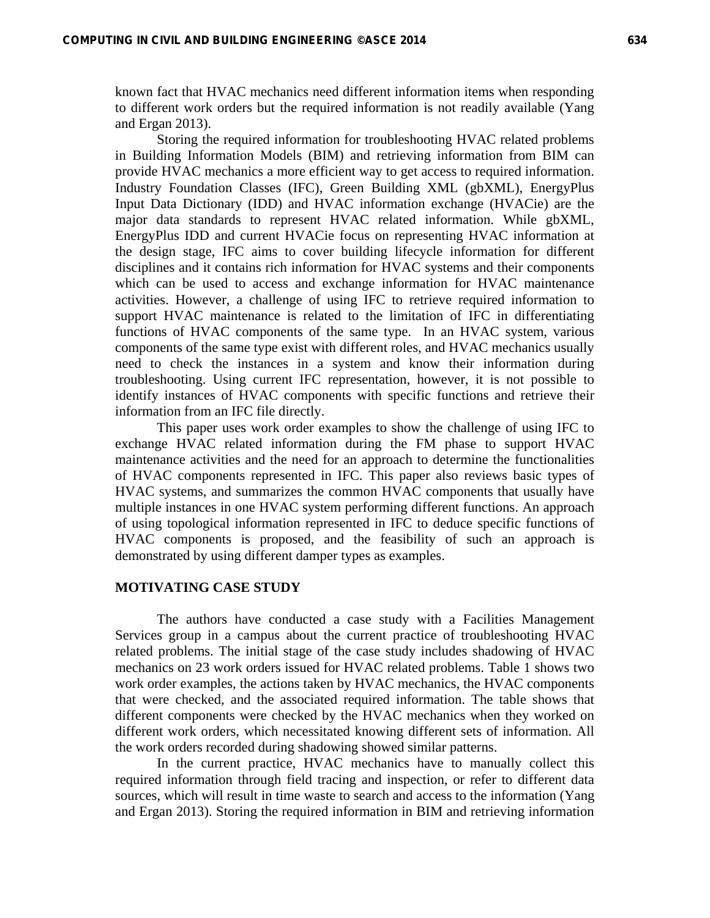known fact that HVAC mechanics need different information items when responding to different work orders but the required information is not readily available (Yang and Ergan 2013).

Storing the required information for troubleshooting HVAC related problems in Building Information Models (BIM) and retrieving information from BIM can provide HVAC mechanics a more efficient way to get access to required information. Industry Foundation Classes (IFC), Green Building XML (gbXML), EnergyPlus Input Data Dictionary (IDD) and HVAC information exchange (HVACie) are the major data standards to represent HVAC related information. While gbXML, EnergyPlus IDD and current HVACie focus on representing HVAC information at the design stage, IFC aims to cover building lifecycle information for different disciplines and it contains rich information for HVAC systems and their components which can be used to access and exchange information for HVAC maintenance activities. However, a challenge of using IFC to retrieve required information to support HVAC maintenance is related to the limitation of IFC in differentiating functions of HVAC components of the same type. In an HVAC system, various components of the same type exist with different roles, and HVAC mechanics usually need to check the instances in a system and know their information during troubleshooting. Using current IFC representation, however, it is not possible to identify instances of HVAC components with specific functions and retrieve their information from an IFC file directly.

This paper uses work order examples to show the challenge of using IFC to exchange HVAC related information during the FM phase to support HVAC maintenance activities and the need for an approach to determine the functionalities of HVAC components represented in IFC. This paper also reviews basic types of HVAC systems, and summarizes the common HVAC components that usually have multiple instances in one HVAC system performing different functions. An approach of using topological information represented in IFC to deduce specific functions of HVAC components is proposed, and the feasibility of such an approach is demonstrated by using different damper types as examples.

## **MOTIVATING CASE STUDY**

The authors have conducted a case study with a Facilities Management Services group in a campus about the current practice of troubleshooting HVAC related problems. The initial stage of the case study includes shadowing of HVAC mechanics on 23 work orders issued for HVAC related problems. Table 1 shows two work order examples, the actions taken by HVAC mechanics, the HVAC components that were checked, and the associated required information. The table shows that different components were checked by the HVAC mechanics when they worked on different work orders, which necessitated knowing different sets of information. All the work orders recorded during shadowing showed similar patterns.

In the current practice, HVAC mechanics have to manually collect this required information through field tracing and inspection, or refer to different data sources, which will result in time waste to search and access to the information (Yang and Ergan 2013). Storing the required information in BIM and retrieving information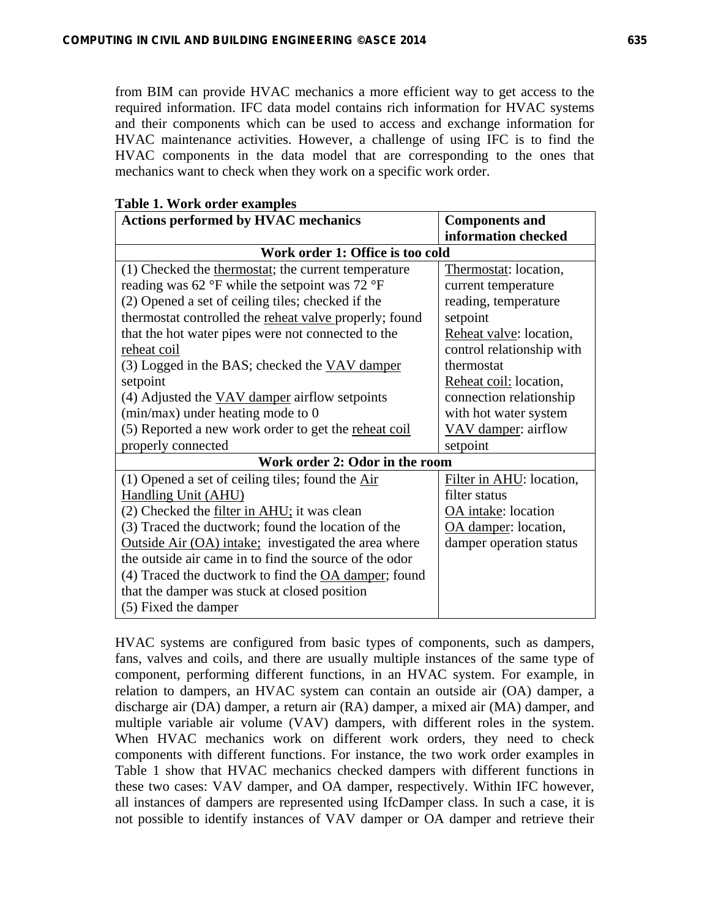from BIM can provide HVAC mechanics a more efficient way to get access to the required information. IFC data model contains rich information for HVAC systems and their components which can be used to access and exchange information for HVAC maintenance activities. However, a challenge of using IFC is to find the HVAC components in the data model that are corresponding to the ones that mechanics want to check when they work on a specific work order.

| <b>Table 1. Work order examples</b>                                  |                           |  |  |  |  |
|----------------------------------------------------------------------|---------------------------|--|--|--|--|
| <b>Actions performed by HVAC mechanics</b>                           | <b>Components and</b>     |  |  |  |  |
|                                                                      | information checked       |  |  |  |  |
| Work order 1: Office is too cold                                     |                           |  |  |  |  |
| (1) Checked the thermostat; the current temperature                  | Thermostat: location,     |  |  |  |  |
| reading was 62 $\mathrm{P}$ while the setpoint was 72 $\mathrm{P}$ F | current temperature       |  |  |  |  |
| (2) Opened a set of ceiling tiles; checked if the                    | reading, temperature      |  |  |  |  |
| thermostat controlled the reheat valve properly; found               | setpoint                  |  |  |  |  |
| that the hot water pipes were not connected to the                   | Reheat valve: location,   |  |  |  |  |
| reheat coil                                                          | control relationship with |  |  |  |  |
| (3) Logged in the BAS; checked the VAV damper                        | thermostat                |  |  |  |  |
| setpoint                                                             | Reheat coil: location,    |  |  |  |  |
| (4) Adjusted the $VAV$ damper airflow setpoints                      | connection relationship   |  |  |  |  |
| (min/max) under heating mode to 0                                    | with hot water system     |  |  |  |  |
| (5) Reported a new work order to get the reheat coil                 | VAV damper: airflow       |  |  |  |  |
| properly connected                                                   | setpoint                  |  |  |  |  |
| Work order 2: Odor in the room                                       |                           |  |  |  |  |
| (1) Opened a set of ceiling tiles; found the $\overline{\text{Air}}$ | Filter in AHU: location,  |  |  |  |  |
| <b>Handling Unit (AHU)</b>                                           | filter status             |  |  |  |  |
| (2) Checked the <u>filter in AHU</u> ; it was clean                  | OA intake: location       |  |  |  |  |
| (3) Traced the ductwork; found the location of the                   | OA damper: location,      |  |  |  |  |
| Outside Air (OA) intake; investigated the area where                 | damper operation status   |  |  |  |  |
| the outside air came in to find the source of the odor               |                           |  |  |  |  |
| (4) Traced the ductwork to find the OA damper; found                 |                           |  |  |  |  |
| that the damper was stuck at closed position                         |                           |  |  |  |  |
| (5) Fixed the damper                                                 |                           |  |  |  |  |

HVAC systems are configured from basic types of components, such as dampers, fans, valves and coils, and there are usually multiple instances of the same type of component, performing different functions, in an HVAC system. For example, in relation to dampers, an HVAC system can contain an outside air (OA) damper, a discharge air (DA) damper, a return air (RA) damper, a mixed air (MA) damper, and multiple variable air volume (VAV) dampers, with different roles in the system. When HVAC mechanics work on different work orders, they need to check components with different functions. For instance, the two work order examples in Table 1 show that HVAC mechanics checked dampers with different functions in these two cases: VAV damper, and OA damper, respectively. Within IFC however, all instances of dampers are represented using IfcDamper class. In such a case, it is not possible to identify instances of VAV damper or OA damper and retrieve their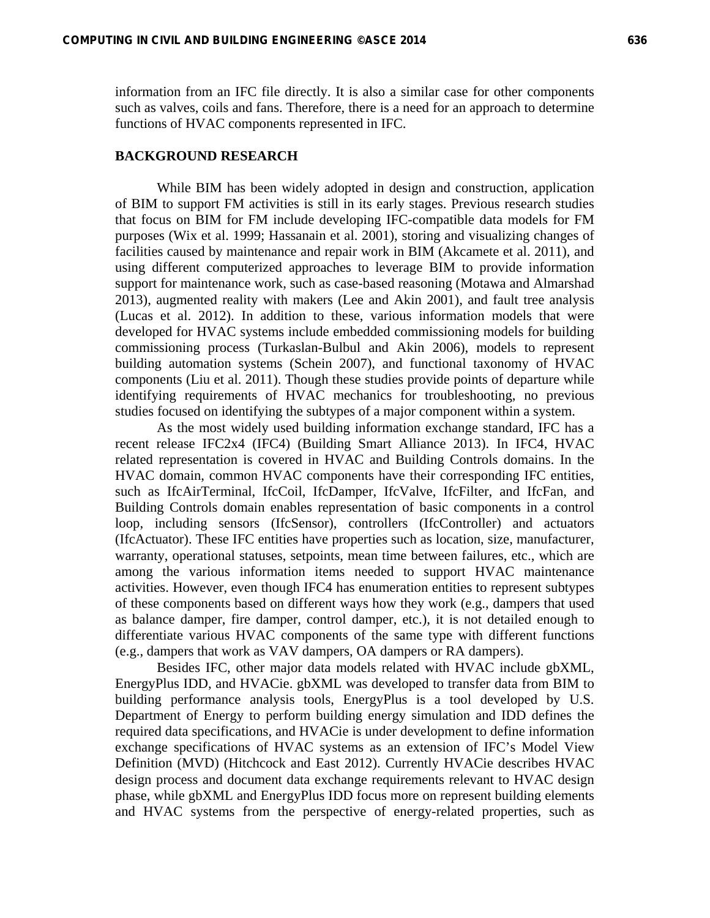information from an IFC file directly. It is also a similar case for other components such as valves, coils and fans. Therefore, there is a need for an approach to determine functions of HVAC components represented in IFC.

#### **BACKGROUND RESEARCH**

While BIM has been widely adopted in design and construction, application of BIM to support FM activities is still in its early stages. Previous research studies that focus on BIM for FM include developing IFC-compatible data models for FM purposes (Wix et al. 1999; Hassanain et al. 2001), storing and visualizing changes of facilities caused by maintenance and repair work in BIM (Akcamete et al. 2011), and using different computerized approaches to leverage BIM to provide information support for maintenance work, such as case-based reasoning (Motawa and Almarshad 2013), augmented reality with makers (Lee and Akin 2001), and fault tree analysis (Lucas et al. 2012). In addition to these, various information models that were developed for HVAC systems include embedded commissioning models for building commissioning process (Turkaslan-Bulbul and Akin 2006), models to represent building automation systems (Schein 2007), and functional taxonomy of HVAC components (Liu et al. 2011). Though these studies provide points of departure while identifying requirements of HVAC mechanics for troubleshooting, no previous studies focused on identifying the subtypes of a major component within a system.

As the most widely used building information exchange standard, IFC has a recent release IFC2x4 (IFC4) (Building Smart Alliance 2013). In IFC4, HVAC related representation is covered in HVAC and Building Controls domains. In the HVAC domain, common HVAC components have their corresponding IFC entities, such as IfcAirTerminal, IfcCoil, IfcDamper, IfcValve, IfcFilter, and IfcFan, and Building Controls domain enables representation of basic components in a control loop, including sensors (IfcSensor), controllers (IfcController) and actuators (IfcActuator). These IFC entities have properties such as location, size, manufacturer, warranty, operational statuses, setpoints, mean time between failures, etc., which are among the various information items needed to support HVAC maintenance activities. However, even though IFC4 has enumeration entities to represent subtypes of these components based on different ways how they work (e.g., dampers that used as balance damper, fire damper, control damper, etc.), it is not detailed enough to differentiate various HVAC components of the same type with different functions (e.g., dampers that work as VAV dampers, OA dampers or RA dampers).

Besides IFC, other major data models related with HVAC include gbXML, EnergyPlus IDD, and HVACie. gbXML was developed to transfer data from BIM to building performance analysis tools, EnergyPlus is a tool developed by U.S. Department of Energy to perform building energy simulation and IDD defines the required data specifications, and HVACie is under development to define information exchange specifications of HVAC systems as an extension of IFC's Model View Definition (MVD) (Hitchcock and East 2012). Currently HVACie describes HVAC design process and document data exchange requirements relevant to HVAC design phase, while gbXML and EnergyPlus IDD focus more on represent building elements and HVAC systems from the perspective of energy-related properties, such as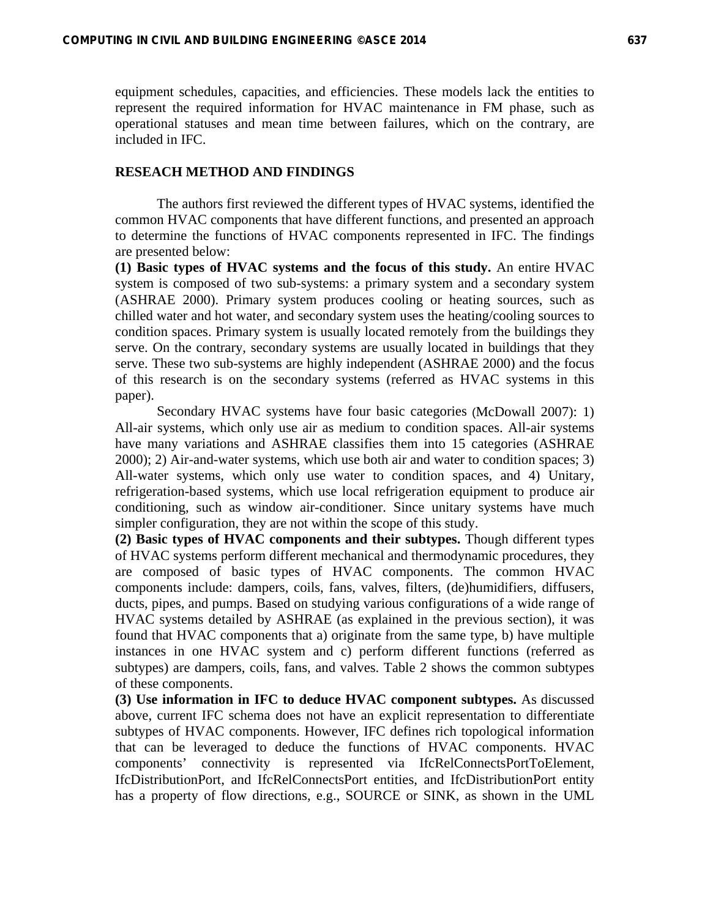equipment schedules, capacities, and efficiencies. These models lack the entities to represent the required information for HVAC maintenance in FM phase, such as operational statuses and mean time between failures, which on the contrary, are included in IFC.

### **RESEACH METHOD AND FINDINGS**

The authors first reviewed the different types of HVAC systems, identified the common HVAC components that have different functions, and presented an approach to determine the functions of HVAC components represented in IFC. The findings are presented below:

**(1) Basic types of HVAC systems and the focus of this study.** An entire HVAC system is composed of two sub-systems: a primary system and a secondary system (ASHRAE 2000). Primary system produces cooling or heating sources, such as chilled water and hot water, and secondary system uses the heating/cooling sources to condition spaces. Primary system is usually located remotely from the buildings they serve. On the contrary, secondary systems are usually located in buildings that they serve. These two sub-systems are highly independent (ASHRAE 2000) and the focus of this research is on the secondary systems (referred as HVAC systems in this paper).

Secondary HVAC systems have four basic categories (McDowall 2007): 1) All-air systems, which only use air as medium to condition spaces. All-air systems have many variations and ASHRAE classifies them into 15 categories (ASHRAE 2000); 2) Air-and-water systems, which use both air and water to condition spaces; 3) All-water systems, which only use water to condition spaces, and 4) Unitary, refrigeration-based systems, which use local refrigeration equipment to produce air conditioning, such as window air-conditioner. Since unitary systems have much simpler configuration, they are not within the scope of this study.

**(2) Basic types of HVAC components and their subtypes.** Though different types of HVAC systems perform different mechanical and thermodynamic procedures, they are composed of basic types of HVAC components. The common HVAC components include: dampers, coils, fans, valves, filters, (de)humidifiers, diffusers, ducts, pipes, and pumps. Based on studying various configurations of a wide range of HVAC systems detailed by ASHRAE (as explained in the previous section), it was found that HVAC components that a) originate from the same type, b) have multiple instances in one HVAC system and c) perform different functions (referred as subtypes) are dampers, coils, fans, and valves. Table 2 shows the common subtypes of these components.

**(3) Use information in IFC to deduce HVAC component subtypes.** As discussed above, current IFC schema does not have an explicit representation to differentiate subtypes of HVAC components. However, IFC defines rich topological information that can be leveraged to deduce the functions of HVAC components. HVAC components' connectivity is represented via IfcRelConnectsPortToElement, IfcDistributionPort, and IfcRelConnectsPort entities, and IfcDistributionPort entity has a property of flow directions, e.g., SOURCE or SINK, as shown in the UML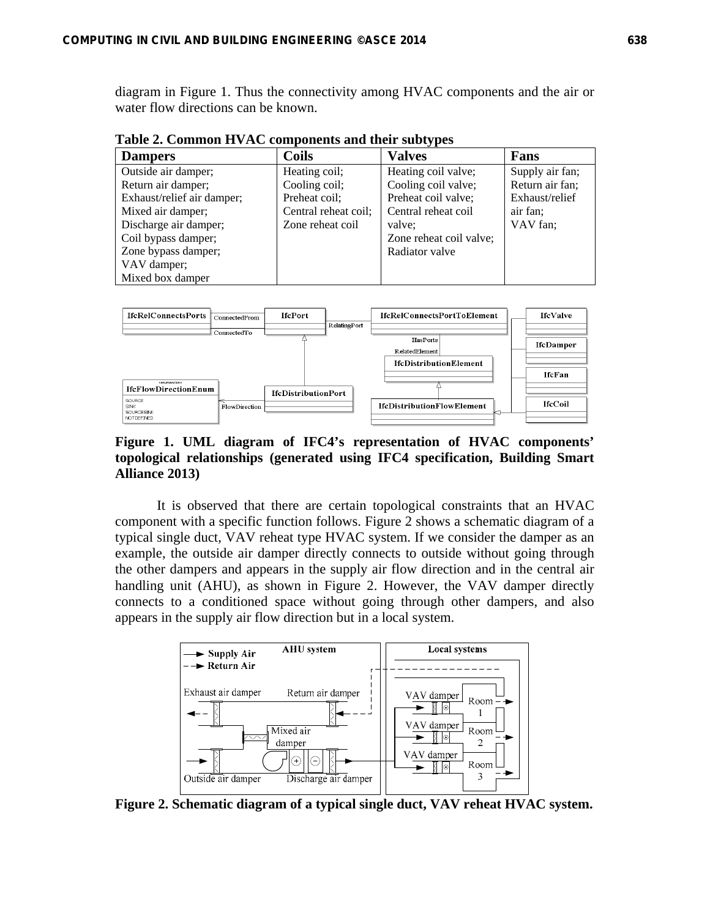diagram in Figure 1. Thus the connectivity among HVAC components and the air or water flow directions can be known.

| <b>Dampers</b>             | <b>Coils</b>         | <b>Valves</b>           | Fans            |
|----------------------------|----------------------|-------------------------|-----------------|
| Outside air damper;        | Heating coil;        | Heating coil valve;     | Supply air fan; |
| Return air damper;         | Cooling coil;        | Cooling coil valve;     | Return air fan; |
| Exhaust/relief air damper; | Preheat coil;        | Preheat coil valve;     | Exhaust/relief  |
| Mixed air damper;          | Central reheat coil; | Central reheat coil     | air fan;        |
| Discharge air damper;      | Zone reheat coil     | valve:                  | VAV fan;        |
| Coil bypass damper;        |                      | Zone reheat coil valve; |                 |
| Zone bypass damper;        |                      | Radiator valve          |                 |
| VAV damper;                |                      |                         |                 |
| Mixed box damper           |                      |                         |                 |

**Table 2. Common HVAC components and their subtypes** 



**Figure 1. UML diagram of IFC4's representation of HVAC components' topological relationships (generated using IFC4 specification, Building Smart Alliance 2013)** 

It is observed that there are certain topological constraints that an HVAC component with a specific function follows. Figure 2 shows a schematic diagram of a typical single duct, VAV reheat type HVAC system. If we consider the damper as an example, the outside air damper directly connects to outside without going through the other dampers and appears in the supply air flow direction and in the central air handling unit (AHU), as shown in Figure 2. However, the VAV damper directly connects to a conditioned space without going through other dampers, and also appears in the supply air flow direction but in a local system.



**Figure 2. Schematic diagram of a typical single duct, VAV reheat HVAC system.**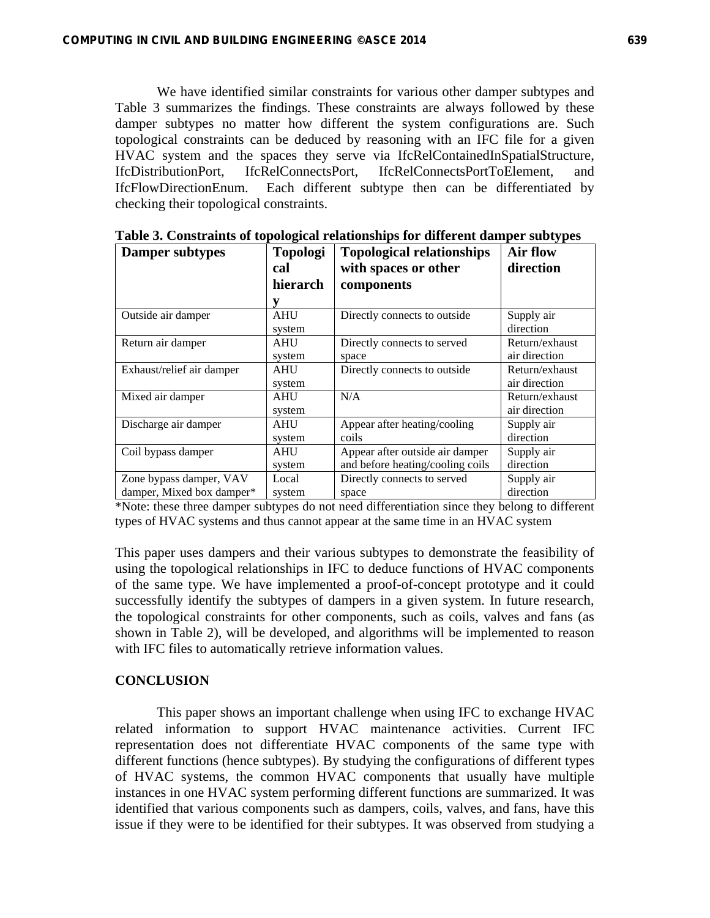We have identified similar constraints for various other damper subtypes and Table 3 summarizes the findings. These constraints are always followed by these damper subtypes no matter how different the system configurations are. Such topological constraints can be deduced by reasoning with an IFC file for a given HVAC system and the spaces they serve via IfcRelContainedInSpatialStructure, IfcDistributionPort, IfcRelConnectsPort, IfcRelConnectsPortToElement, and IfcFlowDirectionEnum. Each different subtype then can be differentiated by checking their topological constraints.

| <b>Damper subtypes</b>    | Topologi   | <b>Topological relationships</b> | Air flow       |
|---------------------------|------------|----------------------------------|----------------|
|                           | cal        | with spaces or other             | direction      |
|                           | hierarch   | components                       |                |
|                           |            |                                  |                |
| Outside air damper        | <b>AHU</b> | Directly connects to outside     | Supply air     |
|                           | system     |                                  | direction      |
| Return air damper         | AHU        | Directly connects to served      | Return/exhaust |
|                           | system     | space                            | air direction  |
| Exhaust/relief air damper | <b>AHU</b> | Directly connects to outside     | Return/exhaust |
|                           | system     |                                  | air direction  |
| Mixed air damper          | AHU        | N/A                              | Return/exhaust |
|                           | system     |                                  | air direction  |
| Discharge air damper      | AHU        | Appear after heating/cooling     | Supply air     |
|                           | system     | coils                            | direction      |
| Coil bypass damper        | AHU        | Appear after outside air damper  | Supply air     |
|                           | system     | and before heating/cooling coils | direction      |
| Zone bypass damper, VAV   | Local      | Directly connects to served      | Supply air     |
| damper, Mixed box damper* | system     | space                            | direction      |

**Table 3. Constraints of topological relationships for different damper subtypes** 

\*Note: these three damper subtypes do not need differentiation since they belong to different types of HVAC systems and thus cannot appear at the same time in an HVAC system

This paper uses dampers and their various subtypes to demonstrate the feasibility of using the topological relationships in IFC to deduce functions of HVAC components of the same type. We have implemented a proof-of-concept prototype and it could successfully identify the subtypes of dampers in a given system. In future research, the topological constraints for other components, such as coils, valves and fans (as shown in Table 2), will be developed, and algorithms will be implemented to reason with IFC files to automatically retrieve information values.

## **CONCLUSION**

This paper shows an important challenge when using IFC to exchange HVAC related information to support HVAC maintenance activities. Current IFC representation does not differentiate HVAC components of the same type with different functions (hence subtypes). By studying the configurations of different types of HVAC systems, the common HVAC components that usually have multiple instances in one HVAC system performing different functions are summarized. It was identified that various components such as dampers, coils, valves, and fans, have this issue if they were to be identified for their subtypes. It was observed from studying a